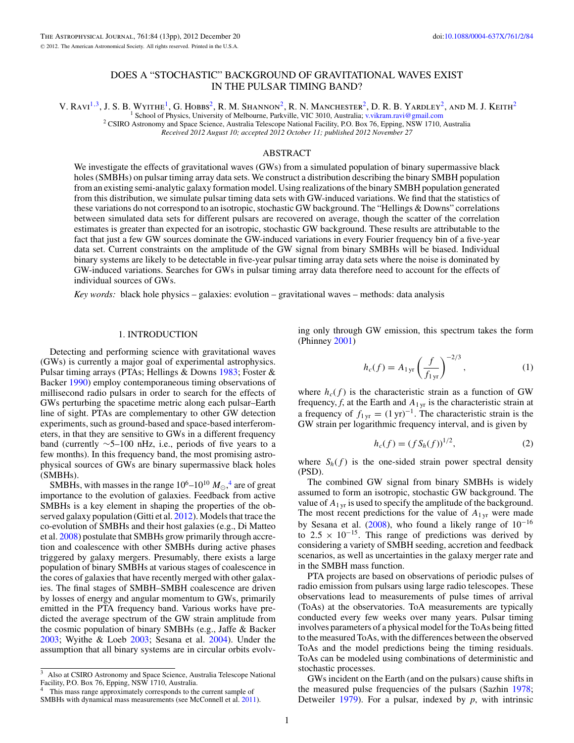# DOES A "STOCHASTIC" BACKGROUND OF GRAVITATIONAL WAVES EXIST IN THE PULSAR TIMING BAND?

<span id="page-0-0"></span>V. RAVI<sup>1,3</sup>, J. S. B. WYITHE<sup>1</sup>, G. HOBBS<sup>2</sup>, R. M. SHANNON<sup>2</sup>, R. N. MANCHESTER<sup>2</sup>, D. R. B. YARDLEY<sup>2</sup>, AND M. J. KEITH<sup>2</sup><br><sup>1</sup> School of Physics, University of Melbourne, Parkville, VIC 3010, Australia; v.vikram.ravi@gm

<sup>2</sup> CSIRO Astronomy and Space Science, Australia Telescope National Facility, P.O. Box 76, Epping, NSW 1710, Australia *Received 2012 August 10; accepted 2012 October 11; published 2012 November 27*

## ABSTRACT

We investigate the effects of gravitational waves (GWs) from a simulated population of binary supermassive black holes (SMBHs) on pulsar timing array data sets. We construct a distribution describing the binary SMBH population from an existing semi-analytic galaxy formation model. Using realizations of the binary SMBH population generated from this distribution, we simulate pulsar timing data sets with GW-induced variations. We find that the statistics of these variations do not correspond to an isotropic, stochastic GW background. The "Hellings & Downs" correlations between simulated data sets for different pulsars are recovered on average, though the scatter of the correlation estimates is greater than expected for an isotropic, stochastic GW background. These results are attributable to the fact that just a few GW sources dominate the GW-induced variations in every Fourier frequency bin of a five-year data set. Current constraints on the amplitude of the GW signal from binary SMBHs will be biased. Individual binary systems are likely to be detectable in five-year pulsar timing array data sets where the noise is dominated by GW-induced variations. Searches for GWs in pulsar timing array data therefore need to account for the effects of individual sources of GWs.

*Key words:* black hole physics – galaxies: evolution – gravitational waves – methods: data analysis

### 1. INTRODUCTION

Detecting and performing science with gravitational waves (GWs) is currently a major goal of experimental astrophysics. Pulsar timing arrays (PTAs; Hellings & Downs [1983;](#page-11-0) Foster & Backer [1990\)](#page-11-0) employ contemporaneous timing observations of millisecond radio pulsars in order to search for the effects of GWs perturbing the spacetime metric along each pulsar–Earth line of sight. PTAs are complementary to other GW detection experiments, such as ground-based and space-based interferometers, in that they are sensitive to GWs in a different frequency band (currently ∼5–100 nHz, i.e., periods of five years to a few months). In this frequency band, the most promising astrophysical sources of GWs are binary supermassive black holes (SMBHs).

SMBHs, with masses in the range  $10^6 - 10^{10} M_{\odot}$ ,<sup>4</sup> are of great importance to the evolution of galaxies. Feedback from active SMBHs is a key element in shaping the properties of the observed galaxy population (Gitti et al. [2012\)](#page-11-0). Models that trace the co-evolution of SMBHs and their host galaxies (e.g., Di Matteo et al. [2008\)](#page-11-0) postulate that SMBHs grow primarily through accretion and coalescence with other SMBHs during active phases triggered by galaxy mergers. Presumably, there exists a large population of binary SMBHs at various stages of coalescence in the cores of galaxies that have recently merged with other galaxies. The final stages of SMBH–SMBH coalescence are driven by losses of energy and angular momentum to GWs, primarily emitted in the PTA frequency band. Various works have predicted the average spectrum of the GW strain amplitude from the cosmic population of binary SMBHs (e.g., Jaffe & Backer [2003;](#page-11-0) Wyithe & Loeb [2003;](#page-12-0) Sesana et al. [2004\)](#page-11-0). Under the assumption that all binary systems are in circular orbits evolving only through GW emission, this spectrum takes the form (Phinney [2001\)](#page-11-0)

$$
h_c(f) = A_{1\,\mathrm{yr}} \left(\frac{f}{f_{1\,\mathrm{yr}}}\right)^{-2/3},\tag{1}
$$

where  $h_c(f)$  is the characteristic strain as a function of GW frequency,  $f$ , at the Earth and  $A_{1 \text{ yr}}$  is the characteristic strain at a frequency of  $f_{1yr} = (1 yr)^{-1}$ . The characteristic strain is the GW strain per logarithmic frequency interval, and is given by

$$
h_c(f) = (f S_h(f))^{1/2},
$$
 (2)

where  $S_h(f)$  is the one-sided strain power spectral density (PSD).

The combined GW signal from binary SMBHs is widely assumed to form an isotropic, stochastic GW background. The value of  $A_{1 \text{ yr}}$  is used to specify the amplitude of the background. The most recent predictions for the value of  $A_{1,\text{yr}}$  were made by Sesana et al. [\(2008\)](#page-12-0), who found a likely range of  $10^{-16}$ to  $2.5 \times 10^{-15}$ . This range of predictions was derived by considering a variety of SMBH seeding, accretion and feedback scenarios, as well as uncertainties in the galaxy merger rate and in the SMBH mass function.

PTA projects are based on observations of periodic pulses of radio emission from pulsars using large radio telescopes. These observations lead to measurements of pulse times of arrival (ToAs) at the observatories. ToA measurements are typically conducted every few weeks over many years. Pulsar timing involves parameters of a physical model for the ToAs being fitted to the measured ToAs, with the differences between the observed ToAs and the model predictions being the timing residuals. ToAs can be modeled using combinations of deterministic and stochastic processes.

GWs incident on the Earth (and on the pulsars) cause shifts in the measured pulse frequencies of the pulsars (Sazhin [1978;](#page-11-0) Detweiler [1979\)](#page-11-0). For a pulsar, indexed by *p*, with intrinsic

<sup>3</sup> Also at CSIRO Astronomy and Space Science, Australia Telescope National Facility, P.O. Box 76, Epping, NSW 1710, Australia.

This mass range approximately corresponds to the current sample of SMBHs with dynamical mass measurements (see McConnell et al. [2011\)](#page-11-0).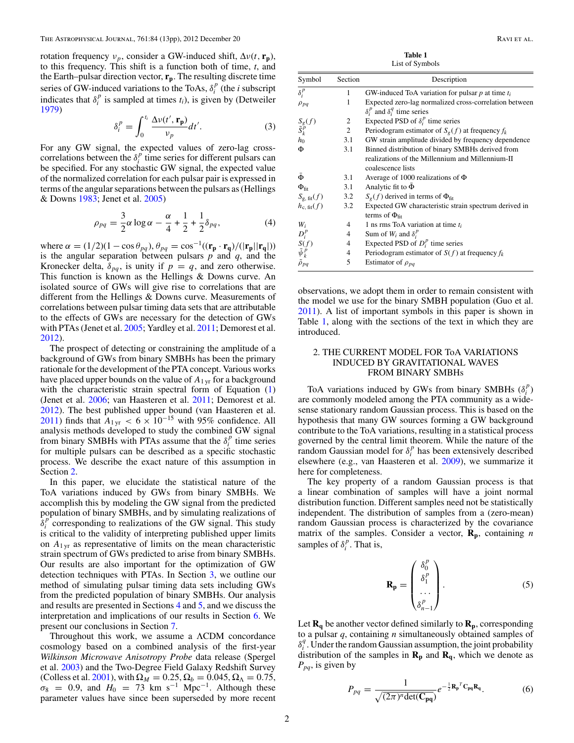<span id="page-1-0"></span>rotation frequency  $v_p$ , consider a GW-induced shift,  $\Delta v(t, \mathbf{r_p})$ , to this frequency. This shift is a function both of time, *t*, and the Earth–pulsar direction vector, **rp**. The resulting discrete time series of GW-induced variations to the ToAs,  $\delta_i^p$  (the *i* subscript indicates that  $\delta_i^p$  is sampled at times  $t_i$ ), is given by (Detweiler [1979\)](#page-11-0)

$$
\delta_i^P = \int_0^{t_i} \frac{\Delta v(t', \mathbf{r_p})}{v_p} dt'.
$$
 (3)

For any GW signal, the expected values of zero-lag crosscorrelations between the  $\delta_i^p$  time series for different pulsars can be specified. For any stochastic GW signal, the expected value of the normalized correlation for each pulsar pair is expressed in terms of the angular separations between the pulsars as (Hellings & Downs [1983;](#page-11-0) Jenet et al. [2005\)](#page-11-0)

$$
\rho_{pq} = \frac{3}{2}\alpha \log \alpha - \frac{\alpha}{4} + \frac{1}{2} + \frac{1}{2}\delta_{pq},
$$
 (4)

where  $\alpha = (1/2)(1 - \cos \theta_{pq})$ ,  $\theta_{pq} = \cos^{-1}((\mathbf{r_p} \cdot \mathbf{r_q})/(|\mathbf{r_p}||\mathbf{r_q}|))$  is the angular separation between pulsars *p* and *q*, and the Kronecker delta,  $\delta_{pq}$ , is unity if  $p = q$ , and zero otherwise. This function is known as the Hellings & Downs curve. An isolated source of GWs will give rise to correlations that are different from the Hellings & Downs curve. Measurements of correlations between pulsar timing data sets that are attributable to the effects of GWs are necessary for the detection of GWs with PTAs (Jenet et al. [2005;](#page-11-0) Yardley et al. [2011;](#page-12-0) Demorest et al. [2012\)](#page-11-0).

The prospect of detecting or constraining the amplitude of a background of GWs from binary SMBHs has been the primary rationale for the development of the PTA concept. Various works have placed upper bounds on the value of *A*1 yr for a background with the characteristic strain spectral form of Equation [\(1\)](#page-0-0) (Jenet et al. [2006;](#page-11-0) van Haasteren et al. [2011;](#page-12-0) Demorest et al. [2012\)](#page-11-0). The best published upper bound (van Haasteren et al. [2011\)](#page-12-0) finds that  $A_{1,\text{yr}} < 6 \times 10^{-15}$  with 95% confidence. All analysis methods developed to study the combined GW signal from binary SMBHs with PTAs assume that the  $\delta_i^p$  time series for multiple pulsars can be described as a specific stochastic process. We describe the exact nature of this assumption in Section 2.

In this paper, we elucidate the statistical nature of the ToA variations induced by GWs from binary SMBHs. We accomplish this by modeling the GW signal from the predicted population of binary SMBHs, and by simulating realizations of  $\delta_i^p$  corresponding to realizations of the GW signal. This study is critical to the validity of interpreting published upper limits on  $A_{1 \text{vr}}$  as representative of limits on the mean characteristic strain spectrum of GWs predicted to arise from binary SMBHs. Our results are also important for the optimization of GW detection techniques with PTAs. In Section [3,](#page-2-0) we outline our method of simulating pulsar timing data sets including GWs from the predicted population of binary SMBHs. Our analysis and results are presented in Sections [4](#page-6-0) and [5,](#page-7-0) and we discuss the interpretation and implications of our results in Section [6.](#page-9-0) We present our conclusions in Section [7.](#page-11-0)

Throughout this work, we assume a ΛCDM concordance cosmology based on a combined analysis of the first-year *Wilkinson Microwave Anisotropy Probe* data release (Spergel et al. [2003\)](#page-12-0) and the Two-Degree Field Galaxy Redshift Survey (Colless et al. [2001\)](#page-11-0), with  $\Omega_M = 0.25, \Omega_b = 0.045, \Omega_\Lambda = 0.75$ ,  $\sigma_8$  = 0.9, and *H*<sub>0</sub> = 73 km s<sup>−1</sup> Mpc<sup>−1</sup>. Although these parameter values have since been superseded by more recent

**Table 1** List of Symbols

| Symbol                      | Section        | Description                                            |
|-----------------------------|----------------|--------------------------------------------------------|
| $\delta_i^p$                | 1              | GW-induced ToA variation for pulsar $p$ at time $t_i$  |
| $\rho_{pq}$                 | 1              | Expected zero-lag normalized cross-correlation between |
|                             |                | $\delta_i^p$ and $\delta_i^q$ time series              |
|                             | 2              | Expected PSD of $\delta_i^p$ time series               |
| $S_g(f)$<br>$\tilde{S}_k^p$ | 2              | Periodogram estimator of $S_g(f)$ at frequency $f_k$   |
| $h_0$                       | 3.1            | GW strain amplitude divided by frequency dependence    |
| Φ                           | 3.1            | Binned distribution of binary SMBHs derived from       |
|                             |                | realizations of the Millennium and Millennium-II       |
|                             |                | coalescence lists                                      |
| $\Phi$                      | 3.1            | Average of 1000 realizations of $\Phi$                 |
| $\Phi_{\text{fit}}$         | 3.1            | Analytic fit to $\Phi$                                 |
| $S_{g, \text{ fit}}(f)$     | 3.2            | $S_g(f)$ derived in terms of $\Phi_{\text{fit}}$       |
| $h_{c, fit}(f)$             | 3.2            | Expected GW characteristic strain spectrum derived in  |
|                             |                | terms of $\Phi_{\text{fit}}$                           |
| W,                          | 4              | 1 ns rms ToA variation at time $t_i$                   |
| $D_i^p$                     | 4              | Sum of $W_i$ and $\delta_i^p$                          |
| S(f)                        | $\overline{4}$ | Expected PSD of $D_i^p$ time series                    |
| $\tilde{\psi}_k^p$          | 4              | Periodogram estimator of $S(f)$ at frequency $f_k$     |
| $\tilde{\rho}_{pq}$         | 5              | Estimator of $\rho_{pa}$                               |

observations, we adopt them in order to remain consistent with the model we use for the binary SMBH population (Guo et al. [2011\)](#page-11-0). A list of important symbols in this paper is shown in Table 1, along with the sections of the text in which they are introduced.

## 2. THE CURRENT MODEL FOR ToA VARIATIONS INDUCED BY GRAVITATIONAL WAVES FROM BINARY SMBHs

ToA variations induced by GWs from binary SMBHs  $(\delta_i^p)$ are commonly modeled among the PTA community as a widesense stationary random Gaussian process. This is based on the hypothesis that many GW sources forming a GW background contribute to the ToA variations, resulting in a statistical process governed by the central limit theorem. While the nature of the  $\sum_{n=1}^{\infty}$  Gaussian model for  $\delta_i^p$  has been extensively described elsewhere (e.g., van Haasteren et al. [2009\)](#page-12-0), we summarize it here for completeness.

The key property of a random Gaussian process is that a linear combination of samples will have a joint normal distribution function. Different samples need not be statistically independent. The distribution of samples from a (zero-mean) random Gaussian process is characterized by the covariance matrix of the samples. Consider a vector,  $\mathbf{R}_{p}$ , containing *n* samples of  $\delta_i^p$ . That is,

$$
\mathbf{R}_{\mathbf{p}} = \begin{pmatrix} \delta_0^p \\ \delta_1^p \\ \vdots \\ \delta_{n-1}^p \end{pmatrix} . \tag{5}
$$

Let  $\mathbf{R}_{q}$  be another vector defined similarly to  $\mathbf{R}_{p}$ , corresponding to a pulsar *q*, containing *n* simultaneously obtained samples of  $\delta_i^q$ . Under the random Gaussian assumption, the joint probability distribution of the samples in  $\mathbf{R}_p$  and  $\mathbf{R}_q$ , which we denote as *Ppq*, is given by

$$
P_{pq} = \frac{1}{\sqrt{(2\pi)^n \det(\mathbf{C}_{pq})}} e^{-\frac{1}{2} \mathbf{R_p}^T \mathbf{C}_{pq} \mathbf{R}_q}.
$$
 (6)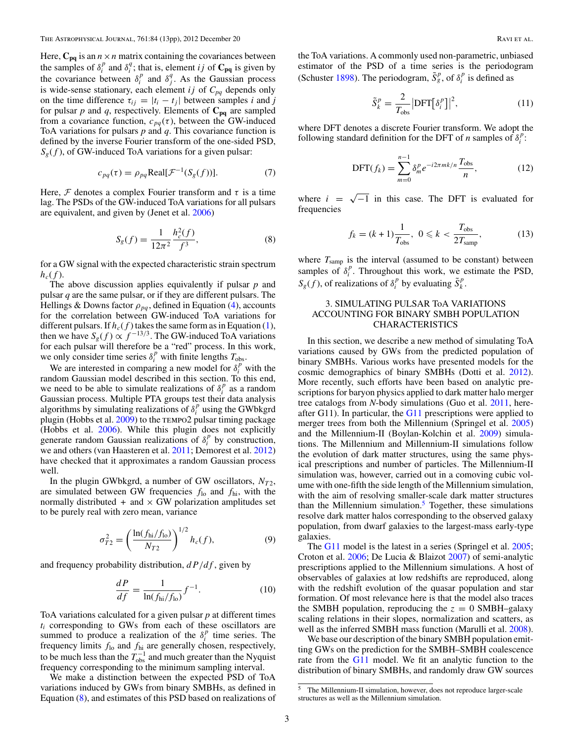<span id="page-2-0"></span>Here,  $C_{pq}$  is an  $n \times n$  matrix containing the covariances between the samples of  $\delta_i^p$  and  $\delta_i^q$ ; that is, element *ij* of  $C_{pq}$  is given by the covariance between  $\delta_i^p$  and  $\delta_j^q$ . As the Gaussian process is wide-sense stationary, each element  $ij$  of  $C_{pq}$  depends only on the time difference  $\tau_{ij} = |t_i - t_j|$  between samples *i* and *j* for pulsar  $p$  and  $q$ , respectively. Elements of  $C_{pq}$  are sampled from a covariance function,  $c_{pq}(\tau)$ , between the GW-induced ToA variations for pulsars *p* and *q*. This covariance function is defined by the inverse Fourier transform of the one-sided PSD,  $S_g(f)$ , of GW-induced ToA variations for a given pulsar:

$$
c_{pq}(\tau) = \rho_{pq} \text{Real}[\mathcal{F}^{-1}(S_g(f))]. \tag{7}
$$

Here,  $\mathcal F$  denotes a complex Fourier transform and  $\tau$  is a time lag. The PSDs of the GW-induced ToA variations for all pulsars are equivalent, and given by (Jenet et al. [2006\)](#page-11-0)

$$
S_g(f) = \frac{1}{12\pi^2} \frac{h_c^2(f)}{f^3},\tag{8}
$$

for a GW signal with the expected characteristic strain spectrum  $h_c(f)$ .

The above discussion applies equivalently if pulsar *p* and pulsar *q* are the same pulsar, or if they are different pulsars. The Hellings & Downs factor  $\rho_{pq}$ , defined in Equation [\(4\)](#page-1-0), accounts for the correlation between GW-induced ToA variations for different pulsars. If  $h_c(f)$  takes the same form as in Equation [\(1\)](#page-0-0), then we have  $S_g(f) \propto f^{-13/3}$ . The GW-induced ToA variations for each pulsar will therefore be a "red" process. In this work, we only consider time series  $\delta_i^p$  with finite lengths  $T_{\text{obs}}$ .

We are interested in comparing a new model for  $\delta_i^p$  with the random Gaussian model described in this section. To this end, we need to be able to simulate realizations of  $\delta_i^p$  as a random Gaussian process. Multiple PTA groups test their data analysis algorithms by simulating realizations of  $\delta_i^p$  using the GWbkgrd plugin (Hobbs et al. [2009\)](#page-11-0) to the TEMPO2 pulsar timing package (Hobbs et al. [2006\)](#page-11-0). While this plugin does not explicitly generate random Gaussian realizations of  $\delta_i^p$  by construction, we and others (van Haasteren et al. [2011;](#page-12-0) Demorest et al. [2012\)](#page-11-0) have checked that it approximates a random Gaussian process well.

In the plugin GWbkgrd, a number of GW oscillators,  $N_{T2}$ , are simulated between GW frequencies  $f_{\text{lo}}$  and  $f_{\text{hi}}$ , with the normally distributed  $+$  and  $\times$  GW polarization amplitudes set to be purely real with zero mean, variance

$$
\sigma_{T2}^2 = \left(\frac{\ln(f_{\rm hi}/f_{\rm lo})}{N_{T2}}\right)^{1/2} h_c(f),\tag{9}
$$

and frequency probability distribution, *dP/df* , given by

$$
\frac{dP}{df} = \frac{1}{\ln(f_{\text{hi}}/f_{\text{lo}})} f^{-1}.
$$
 (10)

ToA variations calculated for a given pulsar *p* at different times *ti* corresponding to GWs from each of these oscillators are summed to produce a realization of the  $\delta_i^p$  time series. The frequency limits *f*lo and *f*hi are generally chosen, respectively, to be much less than the  $T_{obs}^{-1}$  and much greater than the Nyquist frequency corresponding to the minimum sampling interval.

We make a distinction between the expected PSD of ToA variations induced by GWs from binary SMBHs, as defined in Equation (8), and estimates of this PSD based on realizations of the ToA variations. A commonly used non-parametric, unbiased estimator of the PSD of a time series is the periodogram (Schuster [1898\)](#page-11-0). The periodogram,  $\tilde{S}_g^p$ , of  $\delta_i^p$  is defined as

$$
\tilde{S}_k^p = \frac{2}{T_{\text{obs}}} |\text{DFT}\big[\delta_i^p\big]\big|^2,\tag{11}
$$

where DFT denotes a discrete Fourier transform. We adopt the following standard definition for the DFT of *n* samples of  $\delta_i^p$ :

$$
\text{DFT}(f_k) = \sum_{m=0}^{n-1} \delta_m^p e^{-i2\pi mk/n} \frac{T_{\text{obs}}}{n},\tag{12}
$$

where  $i = \sqrt{-1}$  in this case. The DFT is evaluated for frequencies

$$
f_k = (k+1)\frac{1}{T_{\text{obs}}}, \ 0 \le k < \frac{T_{\text{obs}}}{2T_{\text{ samp}}},\tag{13}
$$

where  $T_{\text{samp}}$  is the interval (assumed to be constant) between samples of  $\delta_i^p$ . Throughout this work, we estimate the PSD,  $S_g(f)$ , of realizations of  $\delta_i^p$  by evaluating  $\tilde{S}_k^p$ .

## 3. SIMULATING PULSAR ToA VARIATIONS ACCOUNTING FOR BINARY SMBH POPULATION CHARACTERISTICS

In this section, we describe a new method of simulating ToA variations caused by GWs from the predicted population of binary SMBHs. Various works have presented models for the cosmic demographics of binary SMBHs (Dotti et al. [2012\)](#page-11-0). More recently, such efforts have been based on analytic prescriptions for baryon physics applied to dark matter halo merger tree catalogs from *N*-body simulations (Guo et al. [2011,](#page-11-0) here-after [G11](#page-11-0)). In particular, the  $G11$  prescriptions were applied to merger trees from both the Millennium (Springel et al. [2005\)](#page-12-0) and the Millennium-II (Boylan-Kolchin et al. [2009\)](#page-11-0) simulations. The Millennium and Millennium-II simulations follow the evolution of dark matter structures, using the same physical prescriptions and number of particles. The Millennium-II simulation was, however, carried out in a comoving cubic volume with one-fifth the side length of the Millennium simulation, with the aim of resolving smaller-scale dark matter structures than the Millennium simulation. $5$  Together, these simulations resolve dark matter halos corresponding to the observed galaxy population, from dwarf galaxies to the largest-mass early-type galaxies.

The [G11](#page-11-0) model is the latest in a series (Springel et al. [2005;](#page-12-0) Croton et al. [2006;](#page-11-0) De Lucia & Blaizot [2007\)](#page-11-0) of semi-analytic prescriptions applied to the Millennium simulations. A host of observables of galaxies at low redshifts are reproduced, along with the redshift evolution of the quasar population and star formation. Of most relevance here is that the model also traces the SMBH population, reproducing the  $z = 0$  SMBH–galaxy scaling relations in their slopes, normalization and scatters, as well as the inferred SMBH mass function (Marulli et al. [2008\)](#page-11-0).

We base our description of the binary SMBH population emitting GWs on the prediction for the SMBH–SMBH coalescence rate from the [G11](#page-11-0) model. We fit an analytic function to the distribution of binary SMBHs, and randomly draw GW sources

<sup>5</sup> The Millennium-II simulation, however, does not reproduce larger-scale structures as well as the Millennium simulation.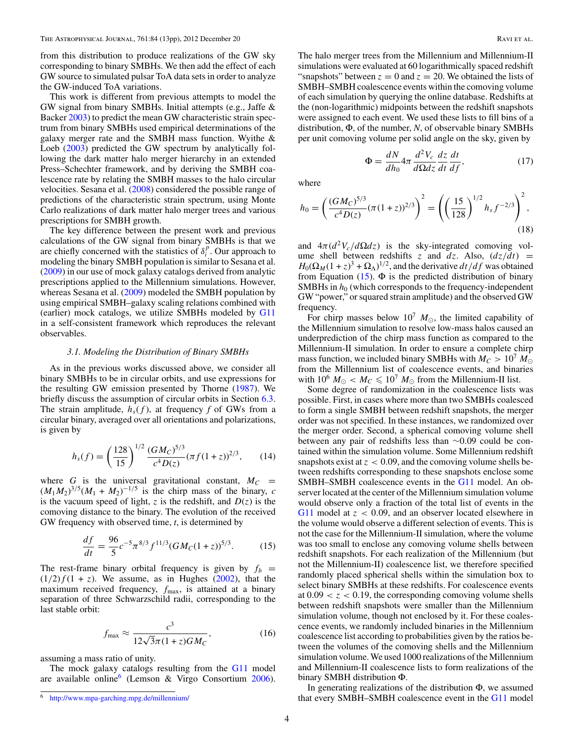<span id="page-3-0"></span>from this distribution to produce realizations of the GW sky corresponding to binary SMBHs. We then add the effect of each GW source to simulated pulsar ToA data sets in order to analyze the GW-induced ToA variations.

This work is different from previous attempts to model the GW signal from binary SMBHs. Initial attempts (e.g., Jaffe & Backer [2003\)](#page-11-0) to predict the mean GW characteristic strain spectrum from binary SMBHs used empirical determinations of the galaxy merger rate and the SMBH mass function. Wyithe & Loeb [\(2003\)](#page-12-0) predicted the GW spectrum by analytically following the dark matter halo merger hierarchy in an extended Press–Schechter framework, and by deriving the SMBH coalescence rate by relating the SMBH masses to the halo circular velocities. Sesana et al. [\(2008\)](#page-12-0) considered the possible range of predictions of the characteristic strain spectrum, using Monte Carlo realizations of dark matter halo merger trees and various prescriptions for SMBH growth.

The key difference between the present work and previous calculations of the GW signal from binary SMBHs is that we are chiefly concerned with the statistics of  $\delta_i^p$ . Our approach to modeling the binary SMBH population is similar to Sesana et al. [\(2009\)](#page-12-0) in our use of mock galaxy catalogs derived from analytic prescriptions applied to the Millennium simulations. However, whereas Sesana et al. [\(2009\)](#page-12-0) modeled the SMBH population by using empirical SMBH–galaxy scaling relations combined with (earlier) mock catalogs, we utilize SMBHs modeled by [G11](#page-11-0) in a self-consistent framework which reproduces the relevant observables.

#### *3.1. Modeling the Distribution of Binary SMBHs*

As in the previous works discussed above, we consider all binary SMBHs to be in circular orbits, and use expressions for the resulting GW emission presented by Thorne [\(1987\)](#page-12-0). We briefly discuss the assumption of circular orbits in Section [6.3.](#page-11-0) The strain amplitude,  $h_s(f)$ , at frequency f of GWs from a circular binary, averaged over all orientations and polarizations, is given by

$$
h_s(f) = \left(\frac{128}{15}\right)^{1/2} \frac{(GM_C)^{5/3}}{c^4 D(z)} (\pi f (1+z))^{2/3},\qquad(14)
$$

where *G* is the universal gravitational constant,  $M_C$  =  $(M_1 M_2)^{3/5} (M_1 + M_2)^{-1/5}$  is the chirp mass of the binary, *c* is the vacuum speed of light,  $z$  is the redshift, and  $D(z)$  is the comoving distance to the binary. The evolution of the received GW frequency with observed time, *t*, is determined by

$$
\frac{df}{dt} = \frac{96}{5}c^{-5}\pi^{8/3}f^{11/3}(GM_C(1+z))^{5/3}.
$$
 (15)

The rest-frame binary orbital frequency is given by  $f_b =$  $(1/2)f(1 + z)$ . We assume, as in Hughes [\(2002\)](#page-11-0), that the maximum received frequency,  $f_{\text{max}}$ , is attained at a binary separation of three Schwarzschild radii, corresponding to the last stable orbit:

$$
f_{\text{max}} \approx \frac{c^3}{12\sqrt{3}\pi (1+z)GM_C},\tag{16}
$$

assuming a mass ratio of unity.

The mock galaxy catalogs resulting from the [G11](#page-11-0) model are available online<sup>6</sup> (Lemson & Virgo Consortium [2006\)](#page-11-0). The halo merger trees from the Millennium and Millennium-II simulations were evaluated at 60 logarithmically spaced redshift "snapshots" between  $z = 0$  and  $z = 20$ . We obtained the lists of SMBH–SMBH coalescence events within the comoving volume of each simulation by querying the online database. Redshifts at the (non-logarithmic) midpoints between the redshift snapshots were assigned to each event. We used these lists to fill bins of a distribution, Φ, of the number, *N*, of observable binary SMBHs per unit comoving volume per solid angle on the sky, given by

$$
\Phi = \frac{dN}{dh_0} 4\pi \frac{d^2 V_c}{d\Omega dz} \frac{dz}{dt} \frac{dt}{df},\tag{17}
$$

where

$$
h_0 = \left(\frac{(GM_C)^{5/3}}{c^4 D(z)} (\pi (1+z))^{2/3}\right)^2 = \left(\left(\frac{15}{128}\right)^{1/2} h_s f^{-2/3}\right)^2,
$$
\n(18)

and  $4\pi(d^2V_c/d\Omega dz)$  is the sky-integrated comoving volume shell between redshifts *z* and  $dz$ . Also,  $\left(\frac{dz}{dt}\right)$  =  $H_0(\Omega_M(1+z)^3 + \Omega_\Lambda)^{1/2}$ , and the derivative  $dt/df$  was obtained from Equation (15).  $\Phi$  is the predicted distribution of binary SMBHs in  $h_0$  (which corresponds to the frequency-independent GW "power," or squared strain amplitude) and the observed GW frequency.

For chirp masses below  $10^7$   $M_{\odot}$ , the limited capability of the Millennium simulation to resolve low-mass halos caused an underprediction of the chirp mass function as compared to the Millennium-II simulation. In order to ensure a complete chirp mass function, we included binary SMBHs with  $M_C > 10^7 M_{\odot}$ from the Millennium list of coalescence events, and binaries with  $10^6 M_{\odot} < M_C \leq 10^7 M_{\odot}$  from the Millennium-II list.

Some degree of randomization in the coalescence lists was possible. First, in cases where more than two SMBHs coalesced to form a single SMBH between redshift snapshots, the merger order was not specified. In these instances, we randomized over the merger order. Second, a spherical comoving volume shell between any pair of redshifts less than ∼0*.*09 could be contained within the simulation volume. Some Millennium redshift snapshots exist at  $z < 0.09$ , and the comoving volume shells between redshifts corresponding to these snapshots enclose some SMBH–SMBH coalescence events in the [G11](#page-11-0) model. An observer located at the center of the Millennium simulation volume would observe only a fraction of the total list of events in the [G11](#page-11-0) model at *z <* 0*.*09, and an observer located elsewhere in the volume would observe a different selection of events. This is not the case for the Millennium-II simulation, where the volume was too small to enclose any comoving volume shells between redshift snapshots. For each realization of the Millennium (but not the Millennium-II) coalescence list, we therefore specified randomly placed spherical shells within the simulation box to select binary SMBHs at these redshifts. For coalescence events at  $0.09 < z < 0.19$ , the corresponding comoving volume shells between redshift snapshots were smaller than the Millennium simulation volume, though not enclosed by it. For these coalescence events, we randomly included binaries in the Millennium coalescence list according to probabilities given by the ratios between the volumes of the comoving shells and the Millennium simulation volume. We used 1000 realizations of the Millennium and Millennium-II coalescence lists to form realizations of the binary SMBH distribution Φ.

In generating realizations of the distribution  $\Phi$ , we assumed that every SMBH–SMBH coalescence event in the [G11](#page-11-0) model

<sup>6</sup> <http://www.mpa-garching.mpg.de/millennium/>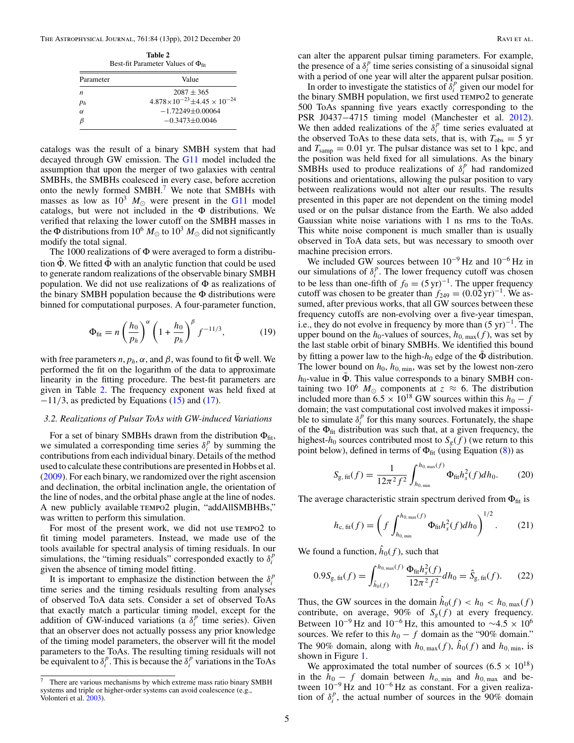<span id="page-4-0"></span>

| Table 2<br>Best-fit Parameter Values of $\Phi_{\text{fit}}$ |                                                  |  |
|-------------------------------------------------------------|--------------------------------------------------|--|
| Parameter                                                   | Value                                            |  |
| $\boldsymbol{n}$                                            | $2087 + 365$                                     |  |
| $p_h$                                                       | $4.878 \times 10^{-23} \pm 4.45 \times 10^{-24}$ |  |
| $\alpha$                                                    | $-1.72249 + 0.00064$                             |  |
| $\beta$                                                     | $-0.3473 + 0.0046$                               |  |

catalogs was the result of a binary SMBH system that had decayed through GW emission. The [G11](#page-11-0) model included the assumption that upon the merger of two galaxies with central SMBHs, the SMBHs coalesced in every case, before accretion onto the newly formed SMBH.<sup>7</sup> We note that SMBHs with masses as low as  $10^3$   $M_{\odot}$  were present in the [G11](#page-11-0) model catalogs, but were not included in the Φ distributions. We verified that relaxing the lower cutoff on the SMBH masses in the  $\Phi$  distributions from 10<sup>6</sup>  $M_{\odot}$  to 10<sup>3</sup>  $M_{\odot}$  did not significantly modify the total signal.

The 1000 realizations of Φ were averaged to form a distribution  $\Phi$ . We fitted  $\Phi$  with an analytic function that could be used to generate random realizations of the observable binary SMBH population. We did not use realizations of  $\Phi$  as realizations of the binary SMBH population because the  $\Phi$  distributions were binned for computational purposes. A four-parameter function,

$$
\Phi_{\text{fit}} = n \left( \frac{h_0}{p_h} \right)^{\alpha} \left( 1 + \frac{h_0}{p_h} \right)^{\beta} f^{-11/3}, \tag{19}
$$

with free parameters *n*,  $p_h$ ,  $\alpha$ , and  $\beta$ , was found to fit  $\Phi$  well. We performed the fit on the logarithm of the data to approximate linearity in the fitting procedure. The best-fit parameters are given in Table 2. The frequency exponent was held fixed at −11*/*3, as predicted by Equations [\(15\)](#page-3-0) and [\(17\)](#page-3-0).

#### *3.2. Realizations of Pulsar ToAs with GW-induced Variations*

For a set of binary SMBHs drawn from the distribution  $\Phi_{\text{fit}}$ , we simulated a corresponding time series  $\delta_i^p$  by summing the contributions from each individual binary. Details of the method used to calculate these contributions are presented in Hobbs et al. [\(2009\)](#page-11-0). For each binary, we randomized over the right ascension and declination, the orbital inclination angle, the orientation of the line of nodes, and the orbital phase angle at the line of nodes. A new publicly available tempo2 plugin, "addAllSMBHBs," was written to perform this simulation.

For most of the present work, we did not use TEMPO2 to fit timing model parameters. Instead, we made use of the tools available for spectral analysis of timing residuals. In our simulations, the "timing residuals" corresponded exactly to  $\delta_i^p$ given the absence of timing model fitting.

It is important to emphasize the distinction between the  $\delta_i^p$ time series and the timing residuals resulting from analyses of observed ToA data sets. Consider a set of observed ToAs that exactly match a particular timing model, except for the addition of GW-induced variations (a  $\delta_i^p$  time series). Given that an observer does not actually possess any prior knowledge of the timing model parameters, the observer will fit the model parameters to the ToAs. The resulting timing residuals will not be equivalent to  $\delta_i^p$ . This is because the  $\delta_i^p$  variations in the ToAs can alter the apparent pulsar timing parameters. For example, the presence of a  $\delta_i^p$  time series consisting of a sinusoidal signal with a period of one year will alter the apparent pulsar position.

In order to investigate the statistics of  $\delta_i^p$  given our model for the binary SMBH population, we first used TEMPO2 to generate 500 ToAs spanning five years exactly corresponding to the PSR J0437−4715 timing model (Manchester et al. [2012\)](#page-11-0). We then added realizations of the  $\delta_i^p$  time series evaluated at the observed ToAs to these data sets, that is, with  $T_{obs} = 5$  yr and  $T_{\text{samp}} = 0.01$  yr. The pulsar distance was set to 1 kpc, and the position was held fixed for all simulations. As the binary SMBHs used to produce realizations of  $\delta_i^p$  had randomized positions and orientations, allowing the pulsar position to vary between realizations would not alter our results. The results presented in this paper are not dependent on the timing model used or on the pulsar distance from the Earth. We also added Gaussian white noise variations with 1 ns rms to the ToAs. This white noise component is much smaller than is usually observed in ToA data sets, but was necessary to smooth over machine precision errors.

We included GW sources between  $10^{-9}$  Hz and  $10^{-6}$  Hz in our simulations of  $\delta_i^p$ . The lower frequency cutoff was chosen to be less than one-fifth of  $f_0 = (5 \text{ yr})^{-1}$ . The upper frequency cutoff was chosen to be greater than  $f_{249} = (0.02 \text{ yr})^{-1}$ . We assumed, after previous works, that all GW sources between these frequency cutoffs are non-evolving over a five-year timespan, i.e., they do not evolve in frequency by more than  $(5 \text{ yr})^{-1}$ . The upper bound on the  $h_0$ -values of sources,  $h_{0, \text{max}}(f)$ , was set by the last stable orbit of binary SMBHs. We identified this bound by fitting a power law to the high- $h_0$  edge of the  $\Phi$  distribution. The lower bound on  $h_0$ ,  $h_0$ <sub>, min</sub>, was set by the lowest non-zero  $h_0$ -value in  $\bar{\Phi}$ . This value corresponds to a binary SMBH containing two 10<sup>6</sup>  $M_{\odot}$  components at  $z \approx 6$ . The distribution included more than  $6.5 \times 10^{18}$  GW sources within this  $h_0 - f$ domain; the vast computational cost involved makes it impossible to simulate  $\delta_i^p$  for this many sources. Fortunately, the shape of the  $\Phi_{\text{fit}}$  distribution was such that, at a given frequency, the highest- $h_0$  sources contributed most to  $S_g(f)$  (we return to this point below), defined in terms of  $\Phi_{\text{fit}}$  (using Equation [\(8\)](#page-2-0)) as

$$
S_{\rm g, fit}(f) = \frac{1}{12\pi^2 f^2} \int_{h_{0,\min}}^{h_{0,\max}(f)} \Phi_{\rm fit} h_s^2(f) dh_0.
$$
 (20)

The average characteristic strain spectrum derived from  $\Phi_{\text{fit}}$  is

$$
h_{c, \text{ fit}}(f) = \left(f \int_{h_{0, \text{ min}}}^{h_{0, \text{ max}}(f)} \Phi_{\text{fit}} h_s^2(f) dh_0\right)^{1/2}.
$$
 (21)

We found a function,  $\hat{h}_0(f)$ , such that

$$
0.9S_{\rm g, \, fit}(f) = \int_{\hat{h}_0(f)}^{h_{0, \, \text{max}}(f)} \frac{\Phi_{\rm fit} h_s^2(f)}{12\pi^2 f^2} dh_0 = \hat{S}_{\rm g, \, fit}(f). \tag{22}
$$

Thus, the GW sources in the domain  $\hat{h}_0(f) < h_0 < h_{0, \max}(f)$ contribute, on average, 90% of  $S_g(f)$  at every frequency. Between  $10^{-9}$  Hz and  $10^{-6}$  Hz, this amounted to  $\sim$ 4.5 × 10<sup>6</sup> sources. We refer to this  $h_0 - f$  domain as the "90% domain." The 90% domain, along with  $h_{0,\text{max}}(f)$ ,  $\hat{h}_0(f)$  and  $h_{0,\text{min}}$ , is shown in Figure [1.](#page-5-0)

We approximated the total number of sources  $(6.5 \times 10^{18})$ in the  $h_0 - f$  domain between  $h_{o,\text{min}}$  and  $h_{0,\text{max}}$  and between  $10^{-9}$  Hz and  $10^{-6}$  Hz as constant. For a given realization of  $\delta_i^p$ , the actual number of sources in the 90% domain

 $7$  There are various mechanisms by which extreme mass ratio binary SMBH systems and triple or higher-order systems can avoid coalescence (e.g., Volonteri et al. [2003\)](#page-12-0).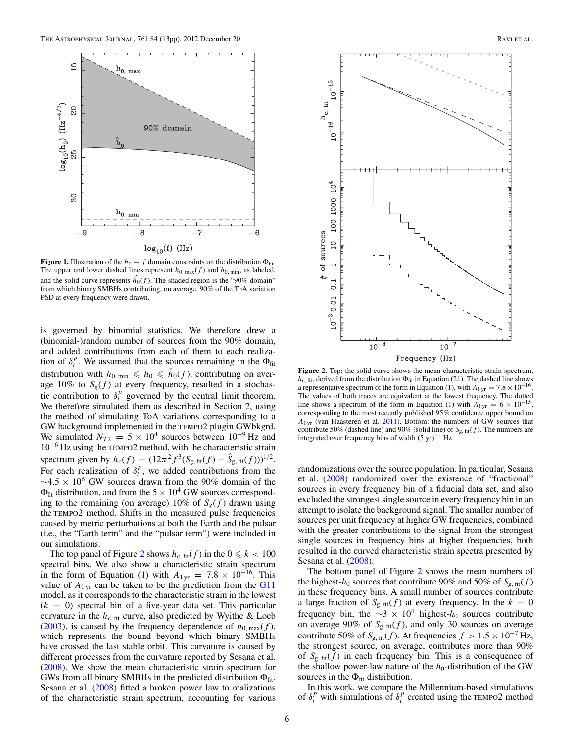<span id="page-5-0"></span>

**Figure 1.** Illustration of the  $h_0 - f$  domain constraints on the distribution  $\Phi_{\text{fit}}$ . The upper and lower dashed lines represent  $h_{0, \text{max}}(f)$  and  $h_{0, \text{min}}$ , as labeled, and the solid curve represents  $h_0(f)$ . The shaded region is the "90% domain" from which binary SMBHs contributing, on average, 90% of the ToA variation PSD at every frequency were drawn.

is governed by binomial statistics. We therefore drew a (binomial-)random number of sources from the 90% domain, and added contributions from each of them to each realization of  $\delta_i^p$ . We assumed that the sources remaining in the  $\Phi_{\text{fit}}$ distribution with  $h_{0,\text{min}} \leq h_0 \leq h_0(f)$ , contributing on average 10% to  $S_g(f)$  at every frequency, resulted in a stochastic contribution to  $\delta_i^p$  governed by the central limit theorem. We therefore simulated them as described in Section [2,](#page-1-0) using the method of simulating ToA variations corresponding to a GW background implemented in the TEMPO2 plugin GWbkgrd. We simulated  $N_{T2} = 5 \times 10^4$  sources between  $10^{-9}$  Hz and 10−<sup>6</sup> Hz using the tempo2 method, with the characteristic strain spectrum given by  $h_c(f) = (12\pi^2 f^3 (S_{\text{g, fit}}(f) - \hat{S}_{\text{g, fit}}(f)))^{1/2}$ . For each realization of  $\delta_i^p$ , we added contributions from the  $\sim$ 4.5 × 10<sup>6</sup> GW sources drawn from the 90% domain of the  $\Phi_{\text{fit}}$  distribution, and from the  $5 \times 10^4$  GW sources corresponding to the remaining (on average) 10% of  $S_g(f)$  drawn using the TEMPO2 method. Shifts in the measured pulse frequencies caused by metric perturbations at both the Earth and the pulsar (i.e., the "Earth term" and the "pulsar term") were included in our simulations.

The top panel of Figure 2 shows  $h_{c, fit}(f)$  in the  $0 \le k < 100$ spectral bins. We also show a characteristic strain spectrum in the form of Equation [\(1\)](#page-0-0) with  $A_{1yr} = 7.8 \times 10^{-16}$ . This value of  $A_{1 \text{yr}}$  can be taken to be the prediction from the [G11](#page-11-0) model, as it corresponds to the characteristic strain in the lowest  $(k = 0)$  spectral bin of a five-year data set. This particular curvature in the  $h_{c, fit}$  curve, also predicted by Wyithe & Loeb [\(2003\)](#page-12-0), is caused by the frequency dependence of  $h_{0, \text{max}}(f)$ , which represents the bound beyond which binary SMBHs have crossed the last stable orbit. This curvature is caused by different processes from the curvature reported by Sesana et al. [\(2008\)](#page-12-0). We show the mean characteristic strain spectrum for GWs from all binary SMBHs in the predicted distribution  $\Phi_{\text{fit}}$ . Sesana et al. [\(2008\)](#page-12-0) fitted a broken power law to realizations of the characteristic strain spectrum, accounting for various



Figure 2. Top: the solid curve shows the mean characteristic strain spectrum,  $h_{\rm c, fit}$ , derived from the distribution  $\Phi_{\rm fit}$  in Equation [\(21\)](#page-4-0). The dashed line shows a representative spectrum of the form in Equation [\(1\)](#page-0-0), with  $A_{1 \text{ yr}} = 7.8 \times 10^{-16}$ . The values of both traces are equivalent at the lowest frequency. The dotted line shows a spectrum of the form in Equation [\(1\)](#page-0-0) with  $A_{1,\text{yr}} = 6 \times 10^{-15}$ , corresponding to the most recently published 95% confidence upper bound on  $A_{1 \text{ yr}}$  (van Haasteren et al. [2011\)](#page-12-0). Bottom: the numbers of GW sources that contribute 50% (dashed line) and 90% (solid line) of *S*g*,* fit(*f* ). The numbers are integrated over frequency bins of width  $(5 \text{ yr})^{-1}$  Hz.

randomizations over the source population. In particular, Sesana et al. [\(2008\)](#page-12-0) randomized over the existence of "fractional" sources in every frequency bin of a fiducial data set, and also excluded the strongest single source in every frequency bin in an attempt to isolate the background signal. The smaller number of sources per unit frequency at higher GW frequencies, combined with the greater contributions to the signal from the strongest single sources in frequency bins at higher frequencies, both resulted in the curved characteristic strain spectra presented by Sesana et al. [\(2008\)](#page-12-0).

The bottom panel of Figure 2 shows the mean numbers of the highest- $h_0$  sources that contribute 90% and 50% of  $S_{\rm g, fit}(f)$ in these frequency bins. A small number of sources contribute a large fraction of  $S_{g, fit}(f)$  at every frequency. In the  $k = 0$ frequency bin, the  $\sim$ 3 × 10<sup>4</sup> highest- $h_0$  sources contribute on average 90% of  $S_{g, \text{fit}}(f)$ , and only 30 sources on average contribute 50% of  $S_{g, \text{fit}}(f)$ . At frequencies  $f > 1.5 \times 10^{-7}$  Hz, the strongest source, on average, contributes more than 90% of  $S_{g, \text{fit}}(f)$  in each frequency bin. This is a consequence of the shallow power-law nature of the  $h_0$ -distribution of the GW sources in the  $\Phi_{\text{fit}}$  distribution.

In this work, we compare the Millennium-based simulations of  $\delta_i^p$  with simulations of  $\delta_i^p$  created using the TEMPO2 method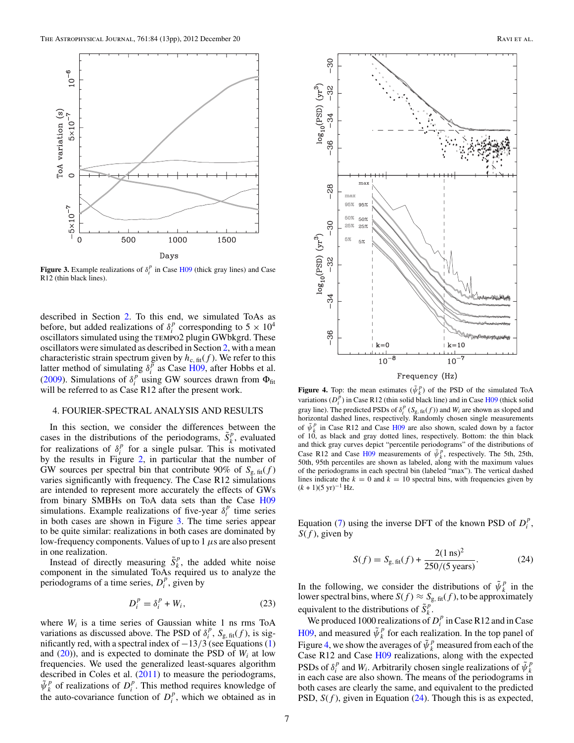<span id="page-6-0"></span>

**Figure 3.** Example realizations of  $\delta_i^p$  in Case [H09](#page-11-0) (thick gray lines) and Case R12 (thin black lines).

described in Section [2.](#page-1-0) To this end, we simulated ToAs as before, but added realizations of  $\delta_i^p$  corresponding to  $5 \times 10^4$ oscillators simulated using the tempo2 plugin GWbkgrd. These oscillators were simulated as described in Section [2,](#page-1-0) with a mean characteristic strain spectrum given by  $h_{c, fit}(f)$ . We refer to this latter method of simulating  $\delta_i^{\vec{p}}$  as Case [H09,](#page-11-0) after Hobbs et al. [\(2009\)](#page-11-0). Simulations of  $\delta_i^p$  using GW sources drawn from  $\Phi_{\text{fit}}$ will be referred to as Case R12 after the present work.

#### 4. FOURIER-SPECTRAL ANALYSIS AND RESULTS

In this section, we consider the differences between the cases in the distributions of the periodograms,  $\tilde{S}_k^p$ , evaluated for realizations of  $\delta_i^p$  for a single pulsar. This is motivated by the results in Figure [2,](#page-5-0) in particular that the number of GW sources per spectral bin that contribute 90% of  $S_{\rm g, fit}(f)$ varies significantly with frequency. The Case R12 simulations are intended to represent more accurately the effects of GWs from binary SMBHs on ToA data sets than the Case [H09](#page-11-0) simulations. Example realizations of five-year  $\delta_i^p$  time series in both cases are shown in Figure 3. The time series appear to be quite similar: realizations in both cases are dominated by low-frequency components. Values of up to 1 *μ*s are also present in one realization.

Instead of directly measuring  $\tilde{S}_k^p$ , the added white noise component in the simulated ToAs required us to analyze the periodograms of a time series,  $D_i^p$ , given by

$$
D_i^p = \delta_i^p + W_i, \qquad (23)
$$

where  $W_i$  is a time series of Gaussian white 1 ns rms ToA variations as discussed above. The PSD of  $\delta_i^p$ ,  $S_{g, \text{fit}}(f)$ , is significantly red, with a spectral index of −13*/*3 (see Equations [\(1\)](#page-0-0) and  $(20)$ ), and is expected to dominate the PSD of  $W_i$  at low frequencies. We used the generalized least-squares algorithm described in Coles et al. [\(2011\)](#page-11-0) to measure the periodograms,  $\tilde{\psi}_k^p$  of realizations of  $D_i^p$ . This method requires knowledge of the auto-covariance function of  $D_i^p$ , which we obtained as in



**Figure 4.** Top: the mean estimates  $(\tilde{\psi}_k^p)$  of the PSD of the simulated ToA variations  $(D_i^{\overline{p}})$  in Case R12 (thin solid black line) and in Case [H09](#page-11-0) (thick solid gray line). The predicted PSDs of  $\delta_i^p$  ( $S_{g, fit}(f)$ ) and  $W_i$  are shown as sloped and horizontal dashed lines, respectively. Randomly chosen single measurements of  $\tilde{\psi}_k^p$  in Case R12 and Case [H09](#page-11-0) are also shown, scaled down by a factor of 10, as black and gray dotted lines, respectively. Bottom: the thin black and thick gray curves depict "percentile periodograms" of the distributions of Case R12 and Case [H09](#page-11-0) measurements of  $\tilde{\psi}_k^p$ , respectively. The 5th, 25th, 50th, 95th percentiles are shown as labeled, along with the maximum values of the periodograms in each spectral bin (labeled "max"). The vertical dashed lines indicate the  $k = 0$  and  $k = 10$  spectral bins, with frequencies given by  $(k + 1)(5 \text{ yr})^{-1}$  Hz.

Equation [\(7\)](#page-2-0) using the inverse DFT of the known PSD of  $D_i^p$ , *S*(*f* ), given by

$$
S(f) = S_{\rm g, \, fit}(f) + \frac{2(1 \, \text{ns})^2}{250/(5 \, \text{years})}.
$$
 (24)

In the following, we consider the distributions of  $\tilde{\psi}_k^p$  in the lower spectral bins, where  $S(f) \approx S_{g, \text{fit}}(f)$ , to be approximately equivalent to the distributions of  $\tilde{S}_k^p$ .

We produced 1000 realizations of  $D_i^p$  in Case R12 and in Case [H09,](#page-11-0) and measured  $\tilde{\psi}_k^p$  for each realization. In the top panel of Figure 4, we show the averages of  $\tilde{\psi}_k^p$  measured from each of the Case R12 and Case [H09](#page-11-0) realizations, along with the expected PSDs of  $\delta_i^p$  and *W<sub>i</sub>*. Arbitrarily chosen single realizations of  $\tilde{\psi}_k^p$ in each case are also shown. The means of the periodograms in both cases are clearly the same, and equivalent to the predicted PSD, *S*(*f* ), given in Equation (24). Though this is as expected,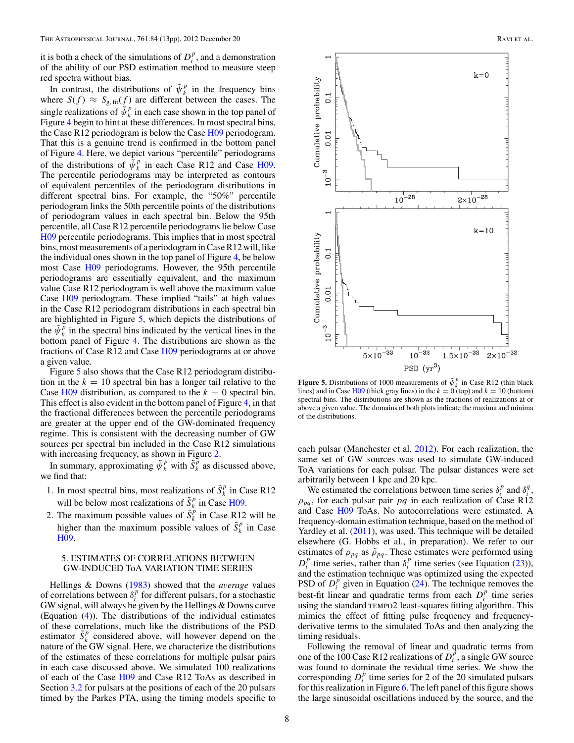<span id="page-7-0"></span>it is both a check of the simulations of  $D_i^p$ , and a demonstration of the ability of our PSD estimation method to measure steep red spectra without bias.

In contrast, the distributions of  $\tilde{\psi}_k^p$  in the frequency bins where  $S(f) \approx S_{g, \text{fit}}(f)$  are different between the cases. The single realizations of  $\tilde{\psi}_k^p$  in each case shown in the top panel of Figure [4](#page-6-0) begin to hint at these differences. In most spectral bins, the Case R12 periodogram is below the Case [H09](#page-11-0) periodogram. That this is a genuine trend is confirmed in the bottom panel of Figure [4.](#page-6-0) Here, we depict various "percentile" periodograms of the distributions of  $\bar{\psi}_k^p$  in each Case R12 and Case [H09.](#page-11-0) The percentile periodograms may be interpreted as contours of equivalent percentiles of the periodogram distributions in different spectral bins. For example, the "50%" percentile periodogram links the 50th percentile points of the distributions of periodogram values in each spectral bin. Below the 95th percentile, all Case R12 percentile periodograms lie below Case [H09](#page-11-0) percentile periodograms. This implies that in most spectral bins, most measurements of a periodogram in Case R12 will, like the individual ones shown in the top panel of Figure [4,](#page-6-0) be below most Case [H09](#page-11-0) periodograms. However, the 95th percentile periodograms are essentially equivalent, and the maximum value Case R12 periodogram is well above the maximum value Case [H09](#page-11-0) periodogram. These implied "tails" at high values in the Case R12 periodogram distributions in each spectral bin are highlighted in Figure 5, which depicts the distributions of the  $\tilde{\psi}_k^{\tilde{p}}$  in the spectral bins indicated by the vertical lines in the bottom panel of Figure [4.](#page-6-0) The distributions are shown as the fractions of Case R12 and Case [H09](#page-11-0) periodograms at or above a given value.

Figure 5 also shows that the Case R12 periodogram distribution in the  $k = 10$  spectral bin has a longer tail relative to the Case  $H09$  distribution, as compared to the  $k = 0$  spectral bin. This effect is also evident in the bottom panel of Figure [4,](#page-6-0) in that the fractional differences between the percentile periodograms are greater at the upper end of the GW-dominated frequency regime. This is consistent with the decreasing number of GW sources per spectral bin included in the Case R12 simulations with increasing frequency, as shown in Figure [2.](#page-5-0)

In summary, approximating  $\tilde{\psi}_k^p$  with  $\tilde{S}_k^p$  as discussed above, we find that:

- 1. In most spectral bins, most realizations of  $\tilde{S}_k^p$  in Case R12 will be below most realizations of  $\tilde{S}_k^p$  in Case [H09.](#page-11-0)
- 2. The maximum possible values of  $\tilde{S}_k^p$  in Case R12 will be higher than the maximum possible values of  $\tilde{S}_k^p$  in Case [H09.](#page-11-0)

## 5. ESTIMATES OF CORRELATIONS BETWEEN GW-INDUCED ToA VARIATION TIME SERIES

Hellings & Downs [\(1983\)](#page-11-0) showed that the *average* values of correlations between  $\delta_i^p$  for different pulsars, for a stochastic GW signal, will always be given by the Hellings & Downs curve (Equation [\(4\)](#page-1-0)). The distributions of the individual estimates of these correlations, much like the distributions of the PSD estimator  $\tilde{S}_k^p$  considered above, will however depend on the nature of the GW signal. Here, we characterize the distributions of the estimates of these correlations for multiple pulsar pairs in each case discussed above. We simulated 100 realizations of each of the Case [H09](#page-11-0) and Case R12 ToAs as described in Section [3.2](#page-4-0) for pulsars at the positions of each of the 20 pulsars timed by the Parkes PTA, using the timing models specific to



**Figure 5.** Distributions of 1000 measurements of  $\tilde{\psi}_k^p$  in Case R12 (thin black lines) and in Case [H09](#page-11-0) (thick gray lines) in the  $k = 0$  (top) and  $k = 10$  (bottom) spectral bins. The distributions are shown as the fractions of realizations at or above a given value. The domains of both plots indicate the maxima and minima of the distributions.

each pulsar (Manchester et al. [2012\)](#page-11-0). For each realization, the same set of GW sources was used to simulate GW-induced ToA variations for each pulsar. The pulsar distances were set arbitrarily between 1 kpc and 20 kpc.

We estimated the correlations between time series  $\delta_i^p$  and  $\delta_i^q$ ,  $\rho_{pq}$ , for each pulsar pair *pq* in each realization of Case R12 and Case [H09](#page-11-0) ToAs. No autocorrelations were estimated. A frequency-domain estimation technique, based on the method of Yardley et al. [\(2011\)](#page-12-0), was used. This technique will be detailed elsewhere (G. Hobbs et al., in preparation). We refer to our estimates of  $\rho_{pq}$  as  $\tilde{\rho}_{pq}$ . These estimates were performed using  $D_i^p$  time series, rather than  $\delta_i^p$  time series (see Equation [\(23\)](#page-6-0)), and the estimation technique was optimized using the expected PSD of  $D_i^p$  given in Equation [\(24\)](#page-6-0). The technique removes the best-fit linear and quadratic terms from each  $D_i^p$  time series using the standard tempo2 least-squares fitting algorithm. This mimics the effect of fitting pulse frequency and frequencyderivative terms to the simulated ToAs and then analyzing the timing residuals.

Following the removal of linear and quadratic terms from one of the 100 Case R12 realizations of  $D_i^{\vec{p}}$ , a single GW source was found to dominate the residual time series. We show the corresponding  $D_i^p$  time series for 2 of the 20 simulated pulsars for this realization in Figure [6.](#page-8-0) The left panel of this figure shows the large sinusoidal oscillations induced by the source, and the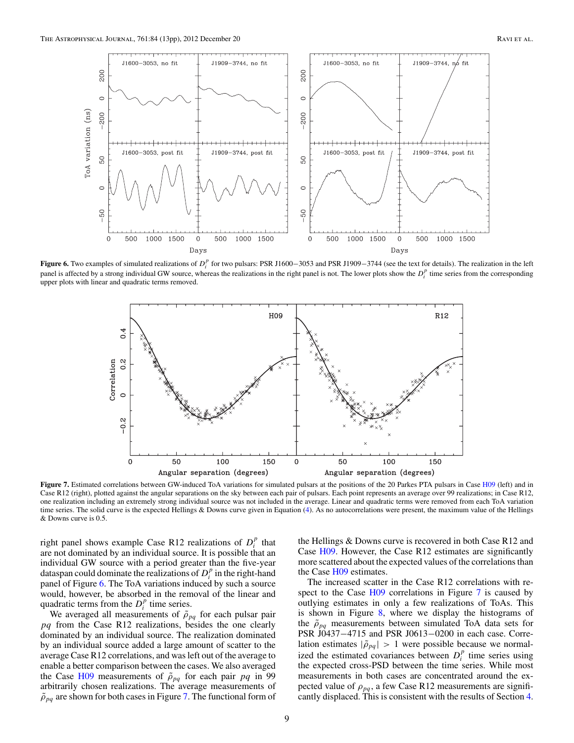<span id="page-8-0"></span>

**Figure 6.** Two examples of simulated realizations of  $D_i^p$  for two pulsars: PSR J1600–3053 and PSR J1909–3744 (see the text for details). The realization in the left panel is affected by a strong individual GW source, whereas the realizations in the right panel is not. The lower plots show the  $D_i^p$  time series from the corresponding upper plots with linear and quadratic terms removed.



Figure 7. Estimated correlations between GW-induced ToA variations for simulated pulsars at the positions of the 20 Parkes PTA pulsars in Case [H09](#page-11-0) (left) and in Case R12 (right), plotted against the angular separations on the sky between each pair of pulsars. Each point represents an average over 99 realizations; in Case R12, one realization including an extremely strong individual source was not included in the average. Linear and quadratic terms were removed from each ToA variation time series. The solid curve is the expected Hellings & Downs curve given in Equation [\(4\)](#page-1-0). As no autocorrelations were present, the maximum value of the Hellings & Downs curve is 0.5.

right panel shows example Case R12 realizations of  $D_i^p$  that are not dominated by an individual source. It is possible that an individual GW source with a period greater than the five-year dataspan could dominate the realizations of  $D_i^p$  in the right-hand panel of Figure 6. The ToA variations induced by such a source would, however, be absorbed in the removal of the linear and quadratic terms from the  $D_i^p$  time series.

We averaged all measurements of  $\tilde{\rho}_{pq}$  for each pulsar pair *pq* from the Case R12 realizations, besides the one clearly dominated by an individual source. The realization dominated by an individual source added a large amount of scatter to the average Case R12 correlations, and was left out of the average to enable a better comparison between the cases. We also averaged the Case [H09](#page-11-0) measurements of  $\tilde{\rho}_{pq}$  for each pair *pq* in 99 arbitrarily chosen realizations. The average measurements of  $\tilde{\rho}_{pq}$  are shown for both cases in Figure 7. The functional form of

the Hellings & Downs curve is recovered in both Case R12 and Case [H09.](#page-11-0) However, the Case R12 estimates are significantly more scattered about the expected values of the correlations than the Case [H09](#page-11-0) estimates.

The increased scatter in the Case R12 correlations with re-spect to the Case [H09](#page-11-0) correlations in Figure 7 is caused by outlying estimates in only a few realizations of ToAs. This is shown in Figure [8,](#page-9-0) where we display the histograms of the  $\tilde{\rho}_{pq}$  measurements between simulated ToA data sets for PSR J0437−4715 and PSR J0613−0200 in each case. Correlation estimates  $|\tilde{\rho}_{pq}| > 1$  were possible because we normalized the estimated covariances between  $D_i^p$  time series using the expected cross-PSD between the time series. While most measurements in both cases are concentrated around the expected value of  $\rho_{pq}$ , a few Case R12 measurements are significantly displaced. This is consistent with the results of Section [4.](#page-6-0)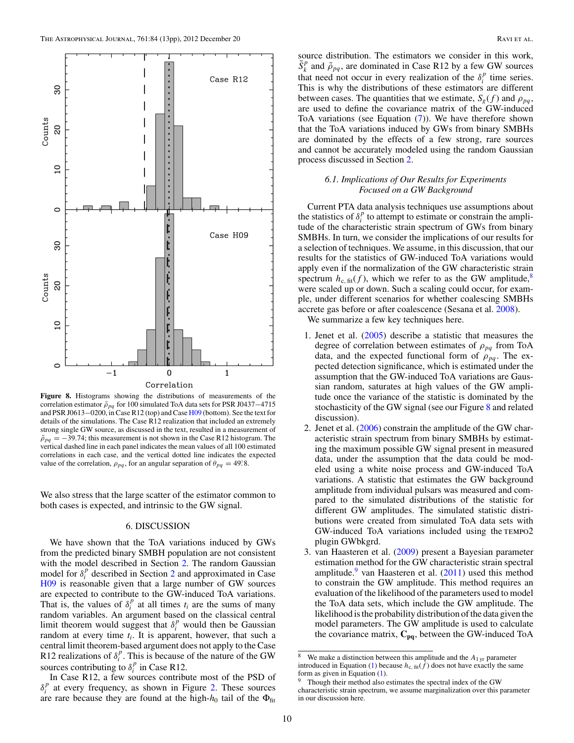<span id="page-9-0"></span>

**Figure 8.** Histograms showing the distributions of measurements of the correlation estimator  $ρ<sub>pq</sub>$  for 100 simulated ToA data sets for PSR J0437−4715 and PSR J0613−0200, in Case R12 (top) and Case [H09](#page-11-0) (bottom). See the text for details of the simulations. The Case R12 realization that included an extremely strong single GW source, as discussed in the text, resulted in a measurement of  $\tilde{\rho}_{pq}$  = −39.74; this measurement is not shown in the Case R12 histogram. The vertical dashed line in each panel indicates the mean values of all 100 estimated correlations in each case, and the vertical dotted line indicates the expected value of the correlation,  $\rho_{pq}$ , for an angular separation of  $\theta_{pq} = 49^\circ.8$ .

We also stress that the large scatter of the estimator common to both cases is expected, and intrinsic to the GW signal.

## 6. DISCUSSION

We have shown that the ToA variations induced by GWs from the predicted binary SMBH population are not consistent with the model described in Section [2.](#page-1-0) The random Gaussian model for  $\delta_i^p$  described in Section [2](#page-1-0) and approximated in Case [H09](#page-11-0) is reasonable given that a large number of GW sources are expected to contribute to the GW-induced ToA variations. That is, the values of  $\delta_i^p$  at all times  $t_i$  are the sums of many random variables. An argument based on the classical central limit theorem would suggest that  $\delta_i^p$  would then be Gaussian random at every time  $t_i$ . It is apparent, however, that such a central limit theorem-based argument does not apply to the Case R12 realizations of  $\delta_i^p$ . This is because of the nature of the GW sources contributing to  $\delta_i^p$  in Case R12.

In Case R12, a few sources contribute most of the PSD of  $\delta_i^p$  at every frequency, as shown in Figure [2.](#page-5-0) These sources are rare because they are found at the high- $h_0$  tail of the  $\Phi_{\text{fit}}$ 

source distribution. The estimators we consider in this work,  $\tilde{S}_k^p$  and  $\tilde{\rho}_{pq}$ , are dominated in Case R12 by a few GW sources that need not occur in every realization of the  $\delta_i^p$  time series. This is why the distributions of these estimators are different between cases. The quantities that we estimate,  $S_g(f)$  and  $\rho_{pa}$ , are used to define the covariance matrix of the GW-induced ToA variations (see Equation [\(7\)](#page-2-0)). We have therefore shown that the ToA variations induced by GWs from binary SMBHs are dominated by the effects of a few strong, rare sources and cannot be accurately modeled using the random Gaussian process discussed in Section [2.](#page-1-0)

## *6.1. Implications of Our Results for Experiments Focused on a GW Background*

Current PTA data analysis techniques use assumptions about the statistics of  $\delta_i^p$  to attempt to estimate or constrain the amplitude of the characteristic strain spectrum of GWs from binary SMBHs. In turn, we consider the implications of our results for a selection of techniques. We assume, in this discussion, that our results for the statistics of GW-induced ToA variations would apply even if the normalization of the GW characteristic strain spectrum  $h_{c, fit}(f)$ , which we refer to as the GW amplitude,<sup>8</sup> were scaled up or down. Such a scaling could occur, for example, under different scenarios for whether coalescing SMBHs accrete gas before or after coalescence (Sesana et al. [2008\)](#page-12-0).

We summarize a few key techniques here.

- 1. Jenet et al. [\(2005\)](#page-11-0) describe a statistic that measures the degree of correlation between estimates of *ρpq* from ToA data, and the expected functional form of  $\rho_{pq}$ . The expected detection significance, which is estimated under the assumption that the GW-induced ToA variations are Gaussian random, saturates at high values of the GW amplitude once the variance of the statistic is dominated by the stochasticity of the GW signal (see our Figure 8 and related discussion).
- 2. Jenet et al. [\(2006\)](#page-11-0) constrain the amplitude of the GW characteristic strain spectrum from binary SMBHs by estimating the maximum possible GW signal present in measured data, under the assumption that the data could be modeled using a white noise process and GW-induced ToA variations. A statistic that estimates the GW background amplitude from individual pulsars was measured and compared to the simulated distributions of the statistic for different GW amplitudes. The simulated statistic distributions were created from simulated ToA data sets with GW-induced ToA variations included using the TEMPO2 plugin GWbkgrd.
- 3. van Haasteren et al. [\(2009\)](#page-12-0) present a Bayesian parameter estimation method for the GW characteristic strain spectral amplitude.<sup>9</sup> van Haasteren et al.  $(2011)$  used this method to constrain the GW amplitude. This method requires an evaluation of the likelihood of the parameters used to model the ToA data sets, which include the GW amplitude. The likelihood is the probability distribution of the data given the model parameters. The GW amplitude is used to calculate the covariance matrix,  $C_{pq}$ , between the GW-induced ToA

<sup>&</sup>lt;sup>8</sup> We make a distinction between this amplitude and the  $A_{1 \text{ yr}}$  parameter introduced in Equation [\(1\)](#page-0-0) because  $h_{c, fit}(\bar{f})$  does not have exactly the same form as given in Equation [\(1\)](#page-0-0).

Though their method also estimates the spectral index of the GW characteristic strain spectrum, we assume marginalization over this parameter in our discussion here.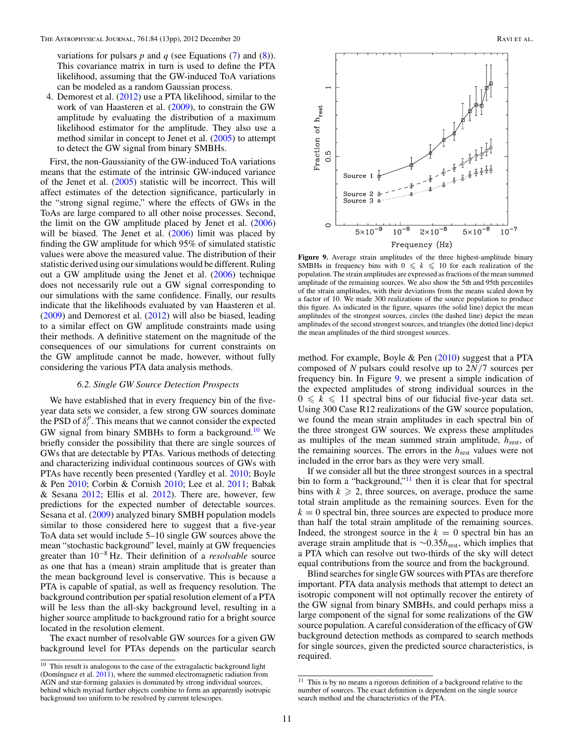variations for pulsars  $p$  and  $q$  (see Equations  $(7)$  and  $(8)$ ). This covariance matrix in turn is used to define the PTA likelihood, assuming that the GW-induced ToA variations can be modeled as a random Gaussian process.

4. Demorest et al. [\(2012\)](#page-11-0) use a PTA likelihood, similar to the work of van Haasteren et al. [\(2009\)](#page-12-0), to constrain the GW amplitude by evaluating the distribution of a maximum likelihood estimator for the amplitude. They also use a method similar in concept to Jenet et al. [\(2005\)](#page-11-0) to attempt to detect the GW signal from binary SMBHs.

First, the non-Gaussianity of the GW-induced ToA variations means that the estimate of the intrinsic GW-induced variance of the Jenet et al. [\(2005\)](#page-11-0) statistic will be incorrect. This will affect estimates of the detection significance, particularly in the "strong signal regime," where the effects of GWs in the ToAs are large compared to all other noise processes. Second, the limit on the GW amplitude placed by Jenet et al. [\(2006\)](#page-11-0) will be biased. The Jenet et al. [\(2006\)](#page-11-0) limit was placed by finding the GW amplitude for which 95% of simulated statistic values were above the measured value. The distribution of their statistic derived using our simulations would be different. Ruling out a GW amplitude using the Jenet et al. [\(2006\)](#page-11-0) technique does not necessarily rule out a GW signal corresponding to our simulations with the same confidence. Finally, our results indicate that the likelihoods evaluated by van Haasteren et al. [\(2009\)](#page-12-0) and Demorest et al. [\(2012\)](#page-11-0) will also be biased, leading to a similar effect on GW amplitude constraints made using their methods. A definitive statement on the magnitude of the consequences of our simulations for current constraints on the GW amplitude cannot be made, however, without fully considering the various PTA data analysis methods.

#### *6.2. Single GW Source Detection Prospects*

We have established that in every frequency bin of the fiveyear data sets we consider, a few strong GW sources dominate the PSD of  $\delta_i^p$ . This means that we cannot consider the expected GW signal from binary SMBHs to form a background.<sup>10</sup> We briefly consider the possibility that there are single sources of GWs that are detectable by PTAs. Various methods of detecting and characterizing individual continuous sources of GWs with PTAs have recently been presented (Yardley et al. [2010;](#page-12-0) Boyle & Pen [2010;](#page-11-0) Corbin & Cornish [2010;](#page-11-0) Lee et al. [2011;](#page-11-0) Babak & Sesana [2012;](#page-11-0) Ellis et al. [2012\)](#page-11-0). There are, however, few predictions for the expected number of detectable sources. Sesana et al. [\(2009\)](#page-12-0) analyzed binary SMBH population models similar to those considered here to suggest that a five-year ToA data set would include 5–10 single GW sources above the mean "stochastic background" level, mainly at GW frequencies greater than 10−<sup>8</sup> Hz. Their definition of a *resolvable* source as one that has a (mean) strain amplitude that is greater than the mean background level is conservative. This is because a PTA is capable of spatial, as well as frequency resolution. The background contribution per spatial resolution element of a PTA will be less than the all-sky background level, resulting in a higher source amplitude to background ratio for a bright source located in the resolution element.

The exact number of resolvable GW sources for a given GW background level for PTAs depends on the particular search



**Figure 9.** Average strain amplitudes of the three highest-amplitude binary SMBHs in frequency bins with  $0 \leq k \leq 10$  for each realization of the population. The strain amplitudes are expressed as fractions of the mean summed amplitude of the remaining sources. We also show the 5th and 95th percentiles of the strain amplitudes, with their deviations from the means scaled down by a factor of 10. We made 300 realizations of the source population to produce this figure. As indicated in the figure, squares (the solid line) depict the mean amplitudes of the strongest sources, circles (the dashed line) depict the mean amplitudes of the second strongest sources, and triangles (the dotted line) depict the mean amplitudes of the third strongest sources.

method. For example, Boyle & Pen  $(2010)$  suggest that a PTA composed of *N* pulsars could resolve up to 2*N/*7 sources per frequency bin. In Figure 9, we present a simple indication of the expected amplitudes of strong individual sources in the  $0 \leq k \leq 11$  spectral bins of our fiducial five-year data set. Using 300 Case R12 realizations of the GW source population, we found the mean strain amplitudes in each spectral bin of the three strongest GW sources. We express these amplitudes as multiples of the mean summed strain amplitude, *h*rest, of the remaining sources. The errors in the *h*rest values were not included in the error bars as they were very small.

If we consider all but the three strongest sources in a spectral bin to form a "background," $\frac{11}{11}$  then it is clear that for spectral bins with  $k \geq 2$ , three sources, on average, produce the same total strain amplitude as the remaining sources. Even for the  $k = 0$  spectral bin, three sources are expected to produce more than half the total strain amplitude of the remaining sources. Indeed, the strongest source in the  $k = 0$  spectral bin has an average strain amplitude that is ∼0*.*35*h*rest, which implies that a PTA which can resolve out two-thirds of the sky will detect equal contributions from the source and from the background.

Blind searches for single GW sources with PTAs are therefore important. PTA data analysis methods that attempt to detect an isotropic component will not optimally recover the entirety of the GW signal from binary SMBHs, and could perhaps miss a large component of the signal for some realizations of the GW source population. A careful consideration of the efficacy of GW background detection methods as compared to search methods for single sources, given the predicted source characteristics, is required.

 $10$  This result is analogous to the case of the extragalactic background light (Domínguez et al.  $2011$ ), where the summed electromagnetic radiation from AGN and star-forming galaxies is dominated by strong individual sources, behind which myriad further objects combine to form an apparently isotropic background too uniform to be resolved by current telescopes.

 $11$  This is by no means a rigorous definition of a background relative to the number of sources. The exact definition is dependent on the single source search method and the characteristics of the PTA.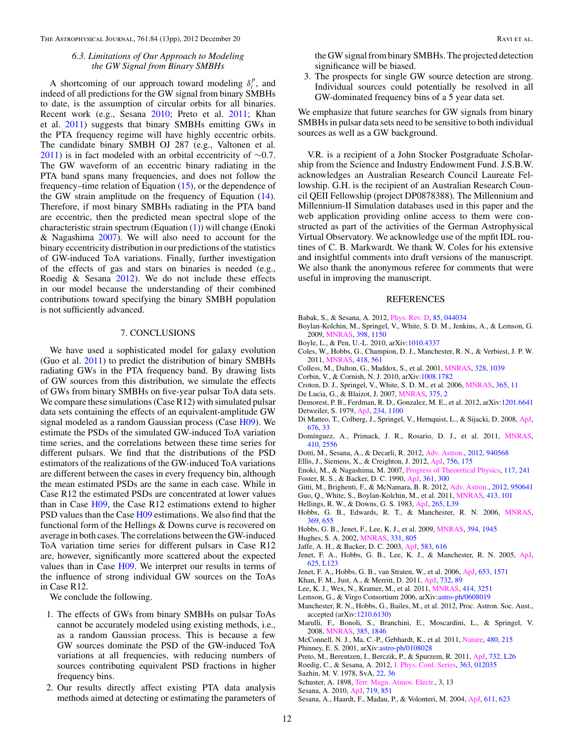### *6.3. Limitations of Our Approach to Modeling the GW Signal from Binary SMBHs*

<span id="page-11-0"></span>A shortcoming of our approach toward modeling  $\delta_i^p$ , and indeed of all predictions for the GW signal from binary SMBHs to date, is the assumption of circular orbits for all binaries. Recent work (e.g., Sesana 2010; Preto et al. 2011; Khan et al. 2011) suggests that binary SMBHs emitting GWs in the PTA frequency regime will have highly eccentric orbits. The candidate binary SMBH OJ 287 (e.g., Valtonen et al. [2011\)](#page-12-0) is in fact modeled with an orbital eccentricity of  $\sim$ 0.7. The GW waveform of an eccentric binary radiating in the PTA band spans many frequencies, and does not follow the frequency–time relation of Equation [\(15\)](#page-3-0), or the dependence of the GW strain amplitude on the frequency of Equation [\(14\)](#page-3-0). Therefore, if most binary SMBHs radiating in the PTA band are eccentric, then the predicted mean spectral slope of the characteristic strain spectrum (Equation [\(1\)](#page-0-0)) will change (Enoki & Nagashima 2007). We will also need to account for the binary eccentricity distribution in our predictions of the statistics of GW-induced ToA variations. Finally, further investigation of the effects of gas and stars on binaries is needed (e.g., Roedig & Sesana 2012). We do not include these effects in our model because the understanding of their combined contributions toward specifying the binary SMBH population is not sufficiently advanced.

#### 7. CONCLUSIONS

We have used a sophisticated model for galaxy evolution (Guo et al. 2011) to predict the distribution of binary SMBHs radiating GWs in the PTA frequency band. By drawing lists of GW sources from this distribution, we simulate the effects of GWs from binary SMBHs on five-year pulsar ToA data sets. We compare these simulations (Case R12) with simulated pulsar data sets containing the effects of an equivalent-amplitude GW signal modeled as a random Gaussian process (Case H09). We estimate the PSDs of the simulated GW-induced ToA variation time series, and the correlations between these time series for different pulsars. We find that the distributions of the PSD estimators of the realizations of the GW-induced ToA variations are different between the cases in every frequency bin, although the mean estimated PSDs are the same in each case. While in Case R12 the estimated PSDs are concentrated at lower values than in Case H09, the Case R12 estimations extend to higher PSD values than the Case H09 estimations. We also find that the functional form of the Hellings & Downs curve is recovered on average in both cases. The correlations between the GW-induced ToA variation time series for different pulsars in Case R12 are, however, significantly more scattered about the expected values than in Case H09. We interpret our results in terms of the influence of strong individual GW sources on the ToAs in Case R12.

We conclude the following.

- 1. The effects of GWs from binary SMBHs on pulsar ToAs cannot be accurately modeled using existing methods, i.e., as a random Gaussian process. This is because a few GW sources dominate the PSD of the GW-induced ToA variations at all frequencies, with reducing numbers of sources contributing equivalent PSD fractions in higher frequency bins.
- 2. Our results directly affect existing PTA data analysis methods aimed at detecting or estimating the parameters of

the GW signal from binary SMBHs. The projected detection significance will be biased.

3. The prospects for single GW source detection are strong. Individual sources could potentially be resolved in all GW-dominated frequency bins of a 5 year data set.

We emphasize that future searches for GW signals from binary SMBHs in pulsar data sets need to be sensitive to both individual sources as well as a GW background.

V.R. is a recipient of a John Stocker Postgraduate Scholarship from the Science and Industry Endowment Fund. J.S.B.W. acknowledges an Australian Research Council Laureate Fellowship. G.H. is the recipient of an Australian Research Council QEII Fellowship (project DP0878388). The Millennium and Millennium-II Simulation databases used in this paper and the web application providing online access to them were constructed as part of the activities of the German Astrophysical Virtual Observatory. We acknowledge use of the mpfit IDL routines of C. B. Markwardt. We thank W. Coles for his extensive and insightful comments into draft versions of the manuscript. We also thank the anonymous referee for comments that were useful in improving the manuscript.

#### REFERENCES

- Babak, S., & Sesana, A. 2012, [Phys. Rev. D,](http://dx.doi.org/10.1103/PhysRevD.85.044034) [85, 044034](http://adsabs.harvard.edu/abs/2012PhRvD..85d4034B)
- Boylan-Kolchin, M., Springel, V., White, S. D. M., Jenkins, A., & Lemson, G. 2009, [MNRAS,](http://dx.doi.org/10.1111/j.1365-2966.2009.15191.x) [398, 1150](http://adsabs.harvard.edu/abs/2009MNRAS.398.1150B)
- Boyle, L., & Pen, U.-L. 2010, arXiv[:1010.4337](http://www.arxiv.org/abs/1010.4337)
- Coles, W., Hobbs, G., Champion, D. J., Manchester, R. N., & Verbiest, J. P. W. 2011, [MNRAS,](http://dx.doi.org/10.1111/j.1365-2966.2011.19505.x) [418, 561](http://adsabs.harvard.edu/abs/2011MNRAS.418..561C)
- Colless, M., Dalton, G., Maddox, S., et al. 2001, [MNRAS,](http://dx.doi.org/10.1046/j.1365-8711.2001.04902.x) [328, 1039](http://adsabs.harvard.edu/abs/2001MNRAS.328.1039C)
- Corbin, V., & Cornish, N. J. 2010, arXiv[:1008.1782](http://www.arxiv.org/abs/1008.1782)
- Croton, D. J., Springel, V., White, S. D. M., et al. 2006, [MNRAS,](http://dx.doi.org/10.1111/j.1365-2966.2005.09675.x) [365, 11](http://adsabs.harvard.edu/abs/2006MNRAS.365...11C)
- De Lucia, G., & Blaizot, J. 2007, [MNRAS,](http://dx.doi.org/10.1111/j.1365-2966.2006.11287.x) [375, 2](http://adsabs.harvard.edu/abs/2007MNRAS.375....2D)
- Demorest, P. B., Ferdman, R. D., Gonzalez, M. E., et al. 2012, arXiv[:1201.6641](http://www.arxiv.org/abs/1201.6641) Detweiler, S. 1979, [ApJ,](http://dx.doi.org/10.1086/157593) [234, 1100](http://adsabs.harvard.edu/abs/1979ApJ...234.1100D)
- Di Matteo, T., Colberg, J., Springel, V., Hernquist, L., & Sijacki, D. 2008, [ApJ,](http://dx.doi.org/10.1086/524921) [676, 33](http://adsabs.harvard.edu/abs/2008ApJ...676...33D)
- Domínguez, A., Primack, J. R., Rosario, D. J., et al. 2011, [MNRAS,](http://dx.doi.org/10.1111/j.1365-2966.2010.17631.x) [410, 2556](http://adsabs.harvard.edu/abs/2011MNRAS.410.2556D)
- Dotti, M., Sesana, A., & Decarli, R. 2012, [Adv. Astron.,](http://dx.doi.org/10.1155/2012/940568) [2012, 940568](http://adsabs.harvard.edu/abs/2012AdAst2012E...3D)
- Ellis, J., Siemens, X., & Creighton, J. 2012, [ApJ,](http://dx.doi.org/10.1088/0004-637X/756/2/175) [756, 175](http://adsabs.harvard.edu/abs/2012ApJ...756..175E)
- Enoki, M., & Nagashima, M. 2007, [Progress of Theoretical Physics,](http://dx.doi.org/10.1143/PTP.117.241) [117, 241](http://adsabs.harvard.edu/abs/2007PThPh.117..241E)
- Foster, R. S., & Backer, D. C. 1990, [ApJ,](http://dx.doi.org/10.1086/169195) [361, 300](http://adsabs.harvard.edu/abs/1990ApJ...361..300F)
- Gitti, M., Brighenti, F., & McNamara, B. R. 2012, [Adv. Astron.,](http://dx.doi.org/10.1155/2012/950641) [2012, 950641](http://adsabs.harvard.edu/abs/2012AdAst2012E...6G)
- Guo, Q., White, S., Boylan-Kolchin, M., et al. 2011, [MNRAS,](http://dx.doi.org/10.1111/j.1365-2966.2010.18114.x) [413, 101](http://adsabs.harvard.edu/abs/2011MNRAS.413..101G)
- Hellings, R. W., & Downs, G. S. 1983, [ApJ,](http://dx.doi.org/10.1086/183954) [265, L39](http://adsabs.harvard.edu/abs/1983ApJ...265L..39H)
- Hobbs, G. B., Edwards, R. T., & Manchester, R. N. 2006, [MNRAS,](http://dx.doi.org/10.1111/j.1365-2966.2006.10302.x) [369, 655](http://adsabs.harvard.edu/abs/2006MNRAS.369..655H)
- Hobbs, G. B., Jenet, F., Lee, K. J., et al. 2009, [MNRAS,](http://dx.doi.org/10.1111/j.1365-2966.2009.14391.x) [394, 1945](http://adsabs.harvard.edu/abs/2009MNRAS.394.1945H)
- Hughes, S. A. 2002, [MNRAS,](http://dx.doi.org/10.1046/j.1365-8711.2002.05247.x) [331, 805](http://adsabs.harvard.edu/abs/2002MNRAS.331..805H)
- Jaffe, A. H., & Backer, D. C. 2003, [ApJ,](http://dx.doi.org/10.1086/345443) [583, 616](http://adsabs.harvard.edu/abs/2003ApJ...583..616J)
- Jenet, F. A., Hobbs, G. B., Lee, K. J., & Manchester, R. N. 2005, [ApJ,](http://dx.doi.org/10.1086/431220) [625, L123](http://adsabs.harvard.edu/abs/2005ApJ...625L.123J)
- Jenet, F. A., Hobbs, G. B., van Straten, W., et al. 2006, [ApJ,](http://dx.doi.org/10.1086/508702) [653, 1571](http://adsabs.harvard.edu/abs/2006ApJ...653.1571J)
- Khan, F. M., Just, A., & Merritt, D. 2011, [ApJ,](http://dx.doi.org/10.1088/0004-637X/732/2/89) [732, 89](http://adsabs.harvard.edu/abs/2011ApJ...732...89K)
- Lee, K. J., Wex, N., Kramer, M., et al. 2011, [MNRAS,](http://dx.doi.org/10.1111/j.1365-2966.2011.18622.x) [414, 3251](http://adsabs.harvard.edu/abs/2011MNRAS.414.3251L)
- Lemson, G., & Virgo Consortium 2006, arXiv[:astro-ph/0608019](http://www.arxiv.org/abs/astro-ph/0608019)
- Manchester, R. N., Hobbs, G., Bailes, M., et al. 2012, Proc. Astron. Soc. Aust., accepted (arXiv[:1210.6130\)](http://www.arxiv.org/abs/1210.6130)
- Marulli, F., Bonoli, S., Branchini, E., Moscardini, L., & Springel, V. 2008, [MNRAS,](http://dx.doi.org/10.1111/j.1365-2966.2008.12988.x) [385, 1846](http://adsabs.harvard.edu/abs/2008MNRAS.385.1846M)
- McConnell, N. J., Ma, C.-P., Gebhardt, K., et al. 2011, [Nature,](http://dx.doi.org/10.1038/nature10636) [480, 215](http://adsabs.harvard.edu/abs/2011Natur.480..215M)
- Phinney, E. S. 2001, arXiv[:astro-ph/0108028](http://www.arxiv.org/abs/astro-ph/0108028)
- Preto, M., Berentzen, I., Berczik, P., & Spurzem, R. 2011, [ApJ,](http://dx.doi.org/10.1088/2041-8205/732/2/L26) [732, L26](http://adsabs.harvard.edu/abs/2011ApJ...732L..26P)
- Roedig, C., & Sesana, A. 2012, [J. Phys. Conf. Series,](http://dx.doi.org/10.1088/1742-6596/363/1/012035) [363, 012035](http://adsabs.harvard.edu/abs/2012JPhCS.363a2035R)
- Sazhin, M. V. 1978, SvA, [22, 36](http://adsabs.harvard.edu/abs/1978SvA....22...36S)
- Schuster, A. 1898, [Terr. Magn. Atmos. Electr.,](http://dx.doi.org/10.1029/TM003i001p00013) 3, 13

Sesana, A., Haardt, F., Madau, P., & Volonteri, M. 2004, [ApJ,](http://dx.doi.org/10.1086/422185) [611, 623](http://adsabs.harvard.edu/abs/2004ApJ...611..623S)

Sesana, A. 2010, [ApJ,](http://dx.doi.org/10.1088/0004-637X/719/1/851) [719, 851](http://adsabs.harvard.edu/abs/2010ApJ...719..851S)